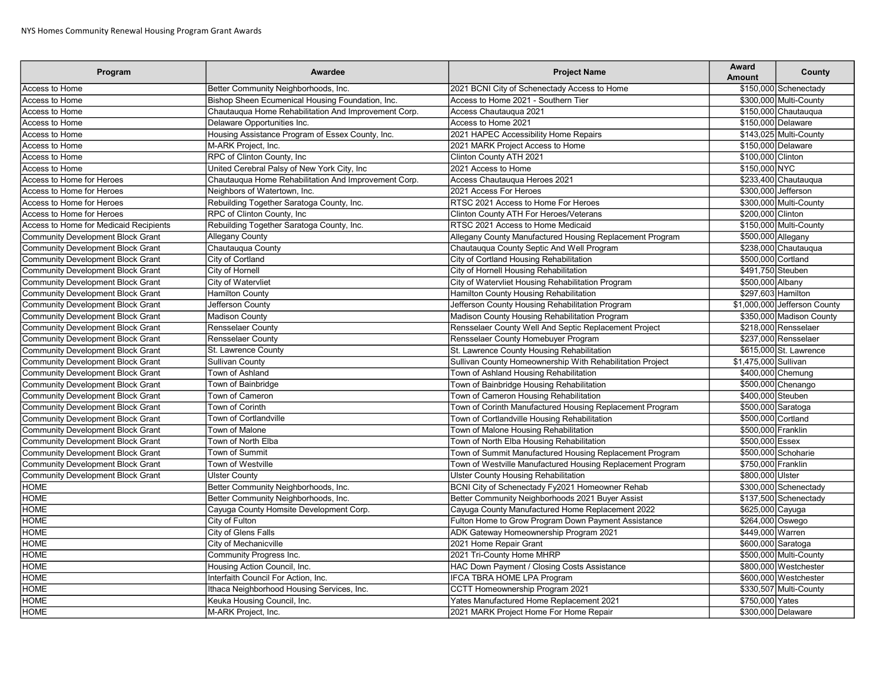| Program                                  | Awardee                                              | <b>Project Name</b>                                        | Award<br><b>Amount</b> | County                       |
|------------------------------------------|------------------------------------------------------|------------------------------------------------------------|------------------------|------------------------------|
| Access to Home                           | Better Community Neighborhoods, Inc.                 | 2021 BCNI City of Schenectady Access to Home               |                        | \$150,000 Schenectady        |
| Access to Home                           | Bishop Sheen Ecumenical Housing Foundation, Inc.     | Access to Home 2021 - Southern Tier                        |                        | \$300,000 Multi-County       |
| Access to Home                           | Chautauqua Home Rehabilitation And Improvement Corp. | Access Chautauqua 2021                                     |                        | \$150,000 Chautauqua         |
| Access to Home                           | Delaware Opportunities Inc.                          | Access to Home 2021                                        | \$150,000 Delaware     |                              |
| Access to Home                           | Housing Assistance Program of Essex County, Inc.     | 2021 HAPEC Accessibility Home Repairs                      |                        | \$143,025 Multi-County       |
| Access to Home                           | M-ARK Project, Inc.                                  | 2021 MARK Project Access to Home                           |                        | \$150,000 Delaware           |
| Access to Home                           | RPC of Clinton County, Inc                           | Clinton County ATH 2021                                    | \$100,000 Clinton      |                              |
| Access to Home                           | United Cerebral Palsy of New York City, Inc          | 2021 Access to Home                                        | \$150,000 NYC          |                              |
| Access to Home for Heroes                | Chautauqua Home Rehabilitation And Improvement Corp. | Access Chautauqua Heroes 2021                              |                        | \$233,400 Chautauqua         |
| Access to Home for Heroes                | Neighbors of Watertown, Inc.                         | 2021 Access For Heroes                                     | \$300.000 Jefferson    |                              |
| Access to Home for Heroes                | Rebuilding Together Saratoga County, Inc.            | RTSC 2021 Access to Home For Heroes                        |                        | \$300,000 Multi-County       |
| Access to Home for Heroes                | RPC of Clinton County, Inc.                          | Clinton County ATH For Heroes/Veterans                     | \$200,000 Clinton      |                              |
| Access to Home for Medicaid Recipients   | Rebuilding Together Saratoga County, Inc.            | RTSC 2021 Access to Home Medicaid                          |                        | \$150,000 Multi-County       |
| Community Development Block Grant        | Allegany County                                      | Allegany County Manufactured Housing Replacement Program   | \$500,000 Allegany     |                              |
| Community Development Block Grant        | Chautaugua County                                    | Chautauqua County Septic And Well Program                  |                        | \$238,000 Chautaugua         |
| <b>Community Development Block Grant</b> | City of Cortland                                     | City of Cortland Housing Rehabilitation                    | \$500,000 Cortland     |                              |
| Community Development Block Grant        | City of Hornell                                      | City of Hornell Housing Rehabilitation                     | \$491,750 Steuben      |                              |
| <b>Community Development Block Grant</b> | City of Watervliet                                   | City of Watervliet Housing Rehabilitation Program          | \$500,000 Albany       |                              |
| <b>Community Development Block Grant</b> | <b>Hamilton County</b>                               | Hamilton County Housing Rehabilitation                     | \$297,603 Hamilton     |                              |
| Community Development Block Grant        | Jefferson County                                     | Jefferson County Housing Rehabilitation Program            |                        | \$1,000,000 Jefferson County |
| Community Development Block Grant        | <b>Madison County</b>                                | Madison County Housing Rehabilitation Program              |                        | \$350,000 Madison County     |
| Community Development Block Grant        | <b>Rensselaer County</b>                             | Rensselaer County Well And Septic Replacement Project      |                        | \$218,000 Rensselaer         |
| Community Development Block Grant        | <b>Rensselaer County</b>                             | Rensselaer County Homebuyer Program                        |                        | \$237,000 Rensselaer         |
| Community Development Block Grant        | St. Lawrence County                                  | St. Lawrence County Housing Rehabilitation                 |                        | \$615,000 St. Lawrence       |
| Community Development Block Grant        | <b>Sullivan County</b>                               | Sullivan County Homeownership With Rehabilitation Project  | \$1,475,000 Sullivan   |                              |
| Community Development Block Grant        | Town of Ashland                                      | Town of Ashland Housing Rehabilitation                     | \$400,000 Chemung      |                              |
| Community Development Block Grant        | Town of Bainbridge                                   | Town of Bainbridge Housing Rehabilitation                  |                        | \$500,000 Chenango           |
| Community Development Block Grant        | Town of Cameron                                      | Town of Cameron Housing Rehabilitation                     | \$400,000 Steuben      |                              |
| Community Development Block Grant        | <b>Town of Corinth</b>                               | Town of Corinth Manufactured Housing Replacement Program   | \$500,000 Saratoga     |                              |
| Community Development Block Grant        | <b>Town of Cortlandville</b>                         | Town of Cortlandville Housing Rehabilitation               | \$500,000 Cortland     |                              |
| Community Development Block Grant        | Town of Malone                                       | Town of Malone Housing Rehabilitation                      | \$500,000 Franklin     |                              |
| Community Development Block Grant        | Town of North Elba                                   | Town of North Elba Housing Rehabilitation                  | \$500,000 Essex        |                              |
| Community Development Block Grant        | Town of Summit                                       | Town of Summit Manufactured Housing Replacement Program    |                        | \$500.000 Schoharie          |
| <b>Community Development Block Grant</b> | Town of Westville                                    | Town of Westville Manufactured Housing Replacement Program | \$750,000 Franklin     |                              |
| Community Development Block Grant        | <b>Ulster County</b>                                 | <b>Ulster County Housing Rehabilitation</b>                | \$800,000 Ulster       |                              |
| <b>HOME</b>                              | Better Community Neighborhoods, Inc.                 | BCNI City of Schenectady Fy2021 Homeowner Rehab            |                        | \$300,000 Schenectady        |
| <b>HOME</b>                              | Better Community Neighborhoods, Inc.                 | Better Community Neighborhoods 2021 Buyer Assist           |                        | \$137,500 Schenectady        |
| <b>HOME</b>                              | Cayuga County Homsite Development Corp.              | Cayuga County Manufactured Home Replacement 2022           | \$625,000 Cayuga       |                              |
| <b>HOME</b>                              | City of Fulton                                       | Fulton Home to Grow Program Down Payment Assistance        | \$264,000 Oswego       |                              |
| <b>HOME</b>                              | City of Glens Falls                                  | ADK Gateway Homeownership Program 2021                     | \$449,000 Warren       |                              |
| <b>HOME</b>                              | City of Mechanicville                                | 2021 Home Repair Grant                                     | \$600,000 Saratoga     |                              |
| <b>HOME</b>                              | Community Progress Inc.                              | 2021 Tri-County Home MHRP                                  |                        | \$500,000 Multi-County       |
| <b>HOME</b>                              | Housing Action Council, Inc.                         | HAC Down Payment / Closing Costs Assistance                |                        | \$800,000 Westchester        |
| <b>HOME</b>                              | Interfaith Council For Action, Inc.                  | <b>IFCA TBRA HOME LPA Program</b>                          |                        | \$600,000 Westchester        |
| <b>HOME</b>                              | Ithaca Neighborhood Housing Services, Inc.           | CCTT Homeownership Program 2021                            |                        | \$330,507 Multi-County       |
| <b>HOME</b>                              | Keuka Housing Council, Inc.                          | Yates Manufactured Home Replacement 2021                   | \$750,000 Yates        |                              |
| <b>HOME</b>                              | M-ARK Project, Inc.                                  | 2021 MARK Project Home For Home Repair                     |                        | \$300,000 Delaware           |